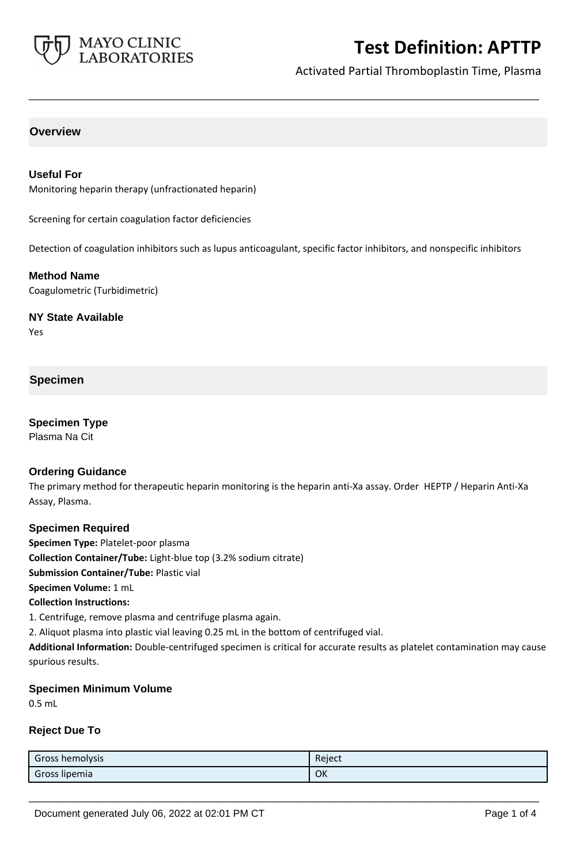

Activated Partial Thromboplastin Time, Plasma

### **Overview**

#### **Useful For**

Monitoring heparin therapy (unfractionated heparin)

Screening for certain coagulation factor deficiencies

Detection of coagulation inhibitors such as lupus anticoagulant, specific factor inhibitors, and nonspecific inhibitors

**\_\_\_\_\_\_\_\_\_\_\_\_\_\_\_\_\_\_\_\_\_\_\_\_\_\_\_\_\_\_\_\_\_\_\_\_\_\_\_\_\_\_\_\_\_\_\_\_\_\_\_**

#### **Method Name**

Coagulometric (Turbidimetric)

**NY State Available**

Yes

#### **Specimen**

## **Specimen Type**

Plasma Na Cit

#### **Ordering Guidance**

The primary method for therapeutic heparin monitoring is the heparin anti-Xa assay. Order HEPTP / Heparin Anti-Xa Assay, Plasma.

#### **Specimen Required**

**Specimen Type:** Platelet-poor plasma **Collection Container/Tube:** Light-blue top (3.2% sodium citrate) **Submission Container/Tube:** Plastic vial **Specimen Volume:** 1 mL **Collection Instructions:**

1. Centrifuge, remove plasma and centrifuge plasma again.

2. Aliquot plasma into plastic vial leaving 0.25 mL in the bottom of centrifuged vial.

**Additional Information:** Double-centrifuged specimen is critical for accurate results as platelet contamination may cause spurious results.

#### **Specimen Minimum Volume**

0.5 mL

#### **Reject Due To**

| Gross hemolysis | Reject |
|-----------------|--------|
| Gross lipemia   | OK     |

**\_\_\_\_\_\_\_\_\_\_\_\_\_\_\_\_\_\_\_\_\_\_\_\_\_\_\_\_\_\_\_\_\_\_\_\_\_\_\_\_\_\_\_\_\_\_\_\_\_\_\_**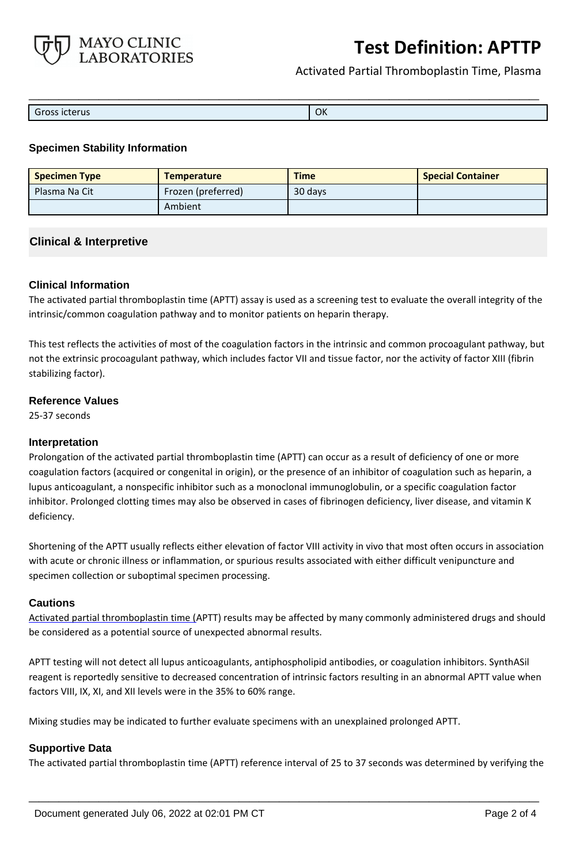

Activated Partial Thromboplastin Time, Plasma

| Gross icterus | OK |
|---------------|----|

### **Specimen Stability Information**

| <b>Specimen Type</b> | <b>Temperature</b> | <b>Time</b> | <b>Special Container</b> |
|----------------------|--------------------|-------------|--------------------------|
| Plasma Na Cit        | Frozen (preferred) | 30 days     |                          |
|                      | Ambient            |             |                          |

## **Clinical & Interpretive**

#### **Clinical Information**

The activated partial thromboplastin time (APTT) assay is used as a screening test to evaluate the overall integrity of the intrinsic/common coagulation pathway and to monitor patients on heparin therapy.

This test reflects the activities of most of the coagulation factors in the intrinsic and common procoagulant pathway, but not the extrinsic procoagulant pathway, which includes factor VII and tissue factor, nor the activity of factor XIII (fibrin stabilizing factor).

#### **Reference Values**

25-37 seconds

#### **Interpretation**

Prolongation of the activated partial thromboplastin time (APTT) can occur as a result of deficiency of one or more coagulation factors (acquired or congenital in origin), or the presence of an inhibitor of coagulation such as heparin, a lupus anticoagulant, a nonspecific inhibitor such as a monoclonal immunoglobulin, or a specific coagulation factor inhibitor. Prolonged clotting times may also be observed in cases of fibrinogen deficiency, liver disease, and vitamin K deficiency.

Shortening of the APTT usually reflects either elevation of factor VIII activity in vivo that most often occurs in association with acute or chronic illness or inflammation, or spurious results associated with either difficult venipuncture and specimen collection or suboptimal specimen processing.

#### **Cautions**

Activated partial thromboplastin time (APTT) results may be affected by many commonly administered drugs and should be considered as a potential source of unexpected abnormal results.

APTT testing will not detect all lupus anticoagulants, antiphospholipid antibodies, or coagulation inhibitors. SynthASil reagent is reportedly sensitive to decreased concentration of intrinsic factors resulting in an abnormal APTT value when factors VIII, IX, XI, and XII levels were in the 35% to 60% range.

Mixing studies may be indicated to further evaluate specimens with an unexplained prolonged APTT.

## **Supportive Data**

The activated partial thromboplastin time (APTT) reference interval of 25 to 37 seconds was determined by verifying the

**\_\_\_\_\_\_\_\_\_\_\_\_\_\_\_\_\_\_\_\_\_\_\_\_\_\_\_\_\_\_\_\_\_\_\_\_\_\_\_\_\_\_\_\_\_\_\_\_\_\_\_**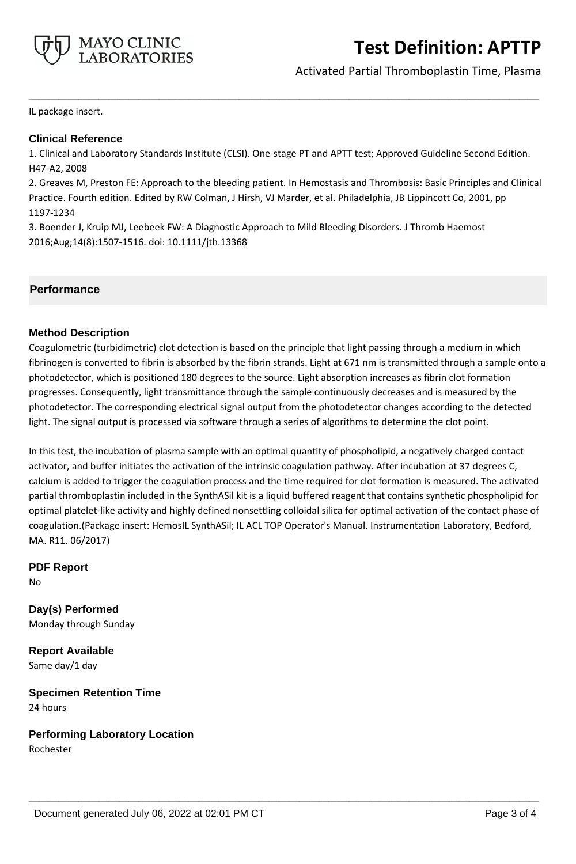

## Activated Partial Thromboplastin Time, Plasma

IL package insert.

## **Clinical Reference**

1. Clinical and Laboratory Standards Institute (CLSI). One-stage PT and APTT test; Approved Guideline Second Edition. H47-A2, 2008

**\_\_\_\_\_\_\_\_\_\_\_\_\_\_\_\_\_\_\_\_\_\_\_\_\_\_\_\_\_\_\_\_\_\_\_\_\_\_\_\_\_\_\_\_\_\_\_\_\_\_\_**

2. Greaves M, Preston FE: Approach to the bleeding patient. In Hemostasis and Thrombosis: Basic Principles and Clinical Practice. Fourth edition. Edited by RW Colman, J Hirsh, VJ Marder, et al. Philadelphia, JB Lippincott Co, 2001, pp 1197-1234

3. Boender J, Kruip MJ, Leebeek FW: A Diagnostic Approach to Mild Bleeding Disorders. J Thromb Haemost 2016;Aug;14(8):1507-1516. doi: 10.1111/jth.13368

## **Performance**

#### **Method Description**

Coagulometric (turbidimetric) clot detection is based on the principle that light passing through a medium in which fibrinogen is converted to fibrin is absorbed by the fibrin strands. Light at 671 nm is transmitted through a sample onto a photodetector, which is positioned 180 degrees to the source. Light absorption increases as fibrin clot formation progresses. Consequently, light transmittance through the sample continuously decreases and is measured by the photodetector. The corresponding electrical signal output from the photodetector changes according to the detected light. The signal output is processed via software through a series of algorithms to determine the clot point.

In this test, the incubation of plasma sample with an optimal quantity of phospholipid, a negatively charged contact activator, and buffer initiates the activation of the intrinsic coagulation pathway. After incubation at 37 degrees C, calcium is added to trigger the coagulation process and the time required for clot formation is measured. The activated partial thromboplastin included in the SynthASil kit is a liquid buffered reagent that contains synthetic phospholipid for optimal platelet-like activity and highly defined nonsettling colloidal silica for optimal activation of the contact phase of coagulation.(Package insert: HemosIL SynthASil; IL ACL TOP Operator's Manual. Instrumentation Laboratory, Bedford, MA. R11. 06/2017)

**\_\_\_\_\_\_\_\_\_\_\_\_\_\_\_\_\_\_\_\_\_\_\_\_\_\_\_\_\_\_\_\_\_\_\_\_\_\_\_\_\_\_\_\_\_\_\_\_\_\_\_**

**PDF Report** No

**Day(s) Performed** Monday through Sunday

**Report Available** Same day/1 day

**Specimen Retention Time** 24 hours

**Performing Laboratory Location**

Rochester